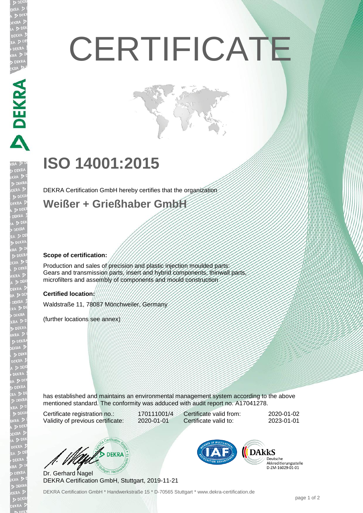# **CERTIFICATE**

## **ISO 14001:2015**

DEKRA Certification GmbH hereby certifies that the organization

**Weißer + Grießhaber GmbH**

#### **Scope of certification:**

**DEKRA** 

Production and sales of precision and plastic injection moulded parts: Gears and transmission parts, insert and hybrid components, thinwall parts, microfilters and assembly of components and mould construction

#### **Certified location:**

Waldstraße 11, 78087 Mönchweiler, Germany

(further locations see annex)

has established and maintains an environmental management system according to the above mentioned standard. The conformity was adduced with audit report no. A17041278.

Certificate registration no.: 170111001/4 Validity of previous certificate: 2020-01-01

Certificate valid from: 2020-01-02 Certificate valid to: 2023-01-01

 $\n *D* EKRA$ 

Dr. Gerhard Nagel DEKRA Certification GmbH, Stuttgart, 2019-11-21



Deutsche Akkreditierungsstelle D-ZM-16029-01-01